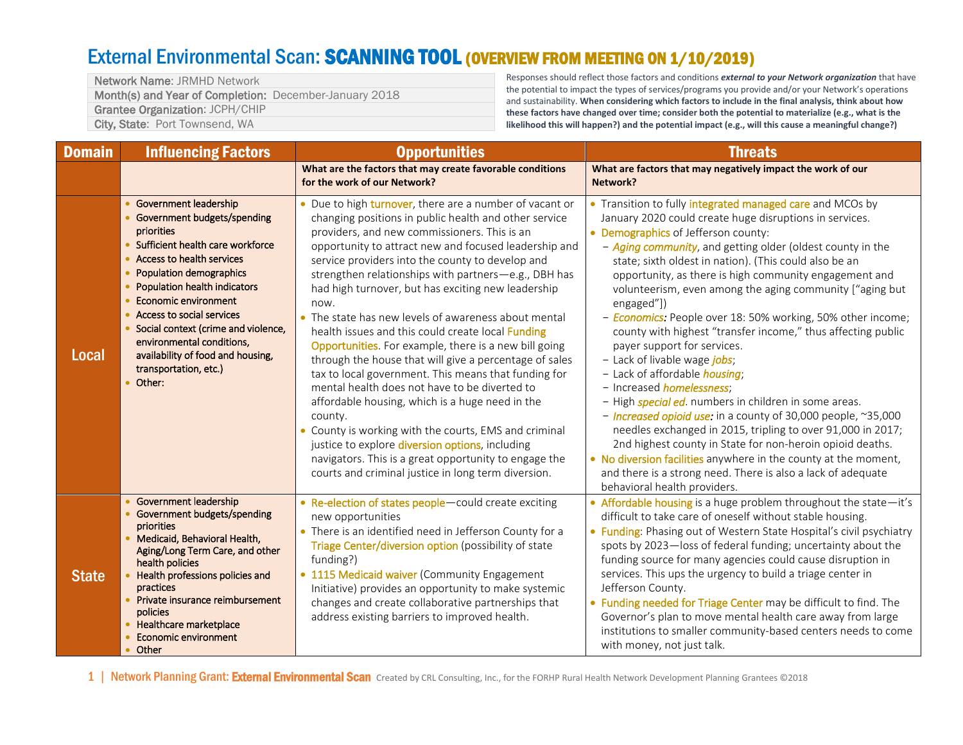## External Environmental Scan: SCANNING TOOL (OVERVIEW FROM MEETING ON 1/10/2019)

Network Name: JRMHD Network Month(s) and Year of Completion: December-January 2018 Grantee Organization: JCPH/CHIP City, State: Port Townsend, WA

Responses should reflect those factors and conditions *external to your Network organization* that have the potential to impact the types of services/programs you provide and/or your Network's operations and sustainability. **When considering which factors to include in the final analysis, think about how these factors have changed over time; consider both the potential to materialize (e.g., what is the likelihood this will happen?) and the potential impact (e.g., will this cause a meaningful change?)**

| <b>Domain</b> | <b>Influencing Factors</b>                                                                                                                                                                                                                                                                                                                                                                                           | <b>Opportunities</b>                                                                                                                                                                                                                                                                                                                                                                                                                                                                                                                                                                                                                                                                                                                                                                                                                                                                                                                                                                                                                   | <b>Threats</b>                                                                                                                                                                                                                                                                                                                                                                                                                                                                                                                                                                                                                                                                                                                                                                                                                                                                                                                                                                                                                                                                                                                              |
|---------------|----------------------------------------------------------------------------------------------------------------------------------------------------------------------------------------------------------------------------------------------------------------------------------------------------------------------------------------------------------------------------------------------------------------------|----------------------------------------------------------------------------------------------------------------------------------------------------------------------------------------------------------------------------------------------------------------------------------------------------------------------------------------------------------------------------------------------------------------------------------------------------------------------------------------------------------------------------------------------------------------------------------------------------------------------------------------------------------------------------------------------------------------------------------------------------------------------------------------------------------------------------------------------------------------------------------------------------------------------------------------------------------------------------------------------------------------------------------------|---------------------------------------------------------------------------------------------------------------------------------------------------------------------------------------------------------------------------------------------------------------------------------------------------------------------------------------------------------------------------------------------------------------------------------------------------------------------------------------------------------------------------------------------------------------------------------------------------------------------------------------------------------------------------------------------------------------------------------------------------------------------------------------------------------------------------------------------------------------------------------------------------------------------------------------------------------------------------------------------------------------------------------------------------------------------------------------------------------------------------------------------|
|               |                                                                                                                                                                                                                                                                                                                                                                                                                      | What are the factors that may create favorable conditions<br>for the work of our Network?                                                                                                                                                                                                                                                                                                                                                                                                                                                                                                                                                                                                                                                                                                                                                                                                                                                                                                                                              | What are factors that may negatively impact the work of our<br>Network?                                                                                                                                                                                                                                                                                                                                                                                                                                                                                                                                                                                                                                                                                                                                                                                                                                                                                                                                                                                                                                                                     |
| Local         | Government leadership<br>Government budgets/spending<br><b>priorities</b><br>Sufficient health care workforce<br>Access to health services<br><b>Population demographics</b><br>Population health indicators<br><b>Economic environment</b><br>Access to social services<br>Social context (crime and violence,<br>environmental conditions,<br>availability of food and housing,<br>transportation, etc.)<br>Other: | • Due to high turnover, there are a number of vacant or<br>changing positions in public health and other service<br>providers, and new commissioners. This is an<br>opportunity to attract new and focused leadership and<br>service providers into the county to develop and<br>strengthen relationships with partners-e.g., DBH has<br>had high turnover, but has exciting new leadership<br>now.<br>• The state has new levels of awareness about mental<br>health issues and this could create local Funding<br>Opportunities. For example, there is a new bill going<br>through the house that will give a percentage of sales<br>tax to local government. This means that funding for<br>mental health does not have to be diverted to<br>affordable housing, which is a huge need in the<br>county.<br>• County is working with the courts, EMS and criminal<br>justice to explore diversion options, including<br>navigators. This is a great opportunity to engage the<br>courts and criminal justice in long term diversion. | • Transition to fully integrated managed care and MCOs by<br>January 2020 could create huge disruptions in services.<br>• Demographics of Jefferson county:<br>- Aging community, and getting older (oldest county in the<br>state; sixth oldest in nation). (This could also be an<br>opportunity, as there is high community engagement and<br>volunteerism, even among the aging community ["aging but<br>engaged"])<br>- <b>Economics:</b> People over 18: 50% working, 50% other income;<br>county with highest "transfer income," thus affecting public<br>payer support for services.<br>- Lack of livable wage jobs;<br>- Lack of affordable <i>housing</i> ;<br>- Increased <i>homelessness</i> ;<br>- High <i>special ed</i> . numbers in children in some areas.<br>- Increased opioid use: in a county of 30,000 people, ~35,000<br>needles exchanged in 2015, tripling to over 91,000 in 2017;<br>2nd highest county in State for non-heroin opioid deaths.<br>• No diversion facilities anywhere in the county at the moment,<br>and there is a strong need. There is also a lack of adequate<br>behavioral health providers. |
| <b>State</b>  | <b>Government leadership</b><br>Government budgets/spending<br>priorities<br>Medicaid, Behavioral Health,<br>Aging/Long Term Care, and other<br>health policies<br>Health professions policies and<br>practices<br>Private insurance reimbursement<br>policies<br>Healthcare marketplace<br><b>Economic environment</b><br>Other                                                                                     | • Re-election of states people-could create exciting<br>new opportunities<br>• There is an identified need in Jefferson County for a<br>Triage Center/diversion option (possibility of state<br>funding?)<br>• 1115 Medicaid waiver (Community Engagement<br>Initiative) provides an opportunity to make systemic<br>changes and create collaborative partnerships that<br>address existing barriers to improved health.                                                                                                                                                                                                                                                                                                                                                                                                                                                                                                                                                                                                               | • Affordable housing is a huge problem throughout the state-it's<br>difficult to take care of oneself without stable housing.<br>• Funding: Phasing out of Western State Hospital's civil psychiatry<br>spots by 2023-loss of federal funding; uncertainty about the<br>funding source for many agencies could cause disruption in<br>services. This ups the urgency to build a triage center in<br>Jefferson County.<br>• Funding needed for Triage Center may be difficult to find. The<br>Governor's plan to move mental health care away from large<br>institutions to smaller community-based centers needs to come<br>with money, not just talk.                                                                                                                                                                                                                                                                                                                                                                                                                                                                                      |

1 | Network Planning Grant: External Environmental Scan Created by CRL Consulting, Inc., for the FORHP Rural Health Network Development Planning Grantees ©2018